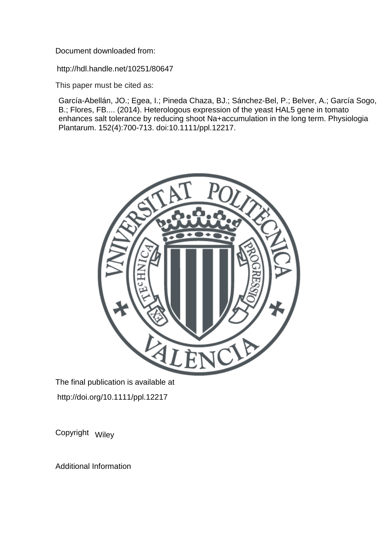Document downloaded from:

http://hdl.handle.net/10251/80647

This paper must be cited as:

García-Abellán, JO.; Egea, I.; Pineda Chaza, BJ.; Sánchez-Bel, P.; Belver, A.; García Sogo, B.; Flores, FB.... (2014). Heterologous expression of the yeast HAL5 gene in tomato enhances salt tolerance by reducing shoot Na+accumulation in the long term. Physiologia Plantarum. 152(4):700-713. doi:10.1111/ppl.12217.



The final publication is available at http://doi.org/10.1111/ppl.12217

Copyright Wiley

Additional Information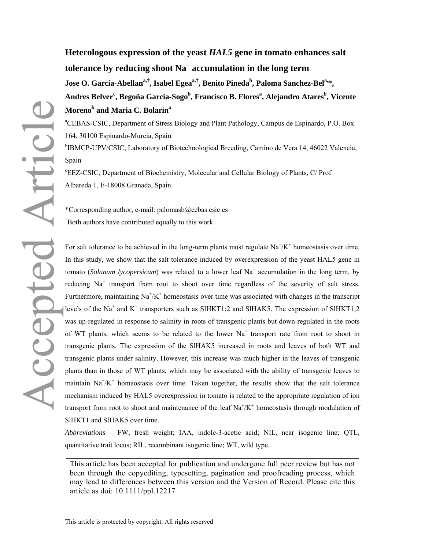**Heterologous expression of the yeast** *HAL5* **gene in tomato enhances salt tolerance by reducing shoot Na<sup>+</sup> accumulation in the long term**  Jose O. García-Abellan<sup>a,†</sup>, Isabel Egea<sup>a,†</sup>, Benito Pineda<sup>b</sup>, Paloma Sanchez-Bel<sup>a,</sup>\*,  $\mathbf{Andres}\ \mathbf{Belver}^{\mathsf{c}}, \mathbf{Bego\~na}\ \mathbf{Garcia-Sogo}^{\mathsf{b}}, \mathbf{Francisco}\ \mathbf{B}. \ \mathbf{Flores}^{\mathsf{a}}, \mathbf{Alejandro}\ \mathbf{Atares}^{\mathsf{b}}, \mathbf{Vicente}^{\mathsf{b}}$ **Morenob and Maria C. Bolarin<sup>a</sup>** <sup>a</sup>CEBAS-CSIC, Department of Stress Biology and Plant Pathology, Campus de Espinardo, P.O. Box 164, 30100 Espinardo-Murcia, Spain <sup>b</sup>IBMCP-UPV/CSIC, Laboratory of Biotechnological Breeding, Camino de Vera 14, 46022 Valencia, Spain

c EEZ-CSIC, Department of Biochemistry, Molecular and Cellular Biology of Plants, C/ Prof. Albareda 1, E-18008 Granada, Spain

\*Corresponding author, e-mail: palomasb@cebas.csic.es † Both authors have contributed equally to this work

For salt tolerance to be achieved in the long-term plants must regulate  $Na^+/K^+$  homeostasis over time. In this study, we show that the salt tolerance induced by overexpression of the yeast HAL5 gene in tomato (Solanum lycopersicum) was related to a lower leaf Na<sup>+</sup> accumulation in the long term, by reducing Na<sup>+</sup> transport from root to shoot over time regardless of the severity of salt stress. Furthermore, maintaining  $\text{Na}^{\dagger}/\text{K}^{\dagger}$  homeostasis over time was associated with changes in the transcript levels of the Na<sup>+</sup> and K<sup>+</sup> transporters such as SIHKT1;2 and SIHAK5. The expression of SIHKT1;2 was up-regulated in response to salinity in roots of transgenic plants but down-regulated in the roots of WT plants, which seems to be related to the lower  $Na<sup>+</sup>$  transport rate from root to shoot in transgenic plants. The expression of the SlHAK5 increased in roots and leaves of both WT and transgenic plants under salinity. However, this increase was much higher in the leaves of transgenic plants than in those of WT plants, which may be associated with the ability of transgenic leaves to maintain  $Na^{+}/K^{+}$  homeostasis over time. Taken together, the results show that the salt tolerance mechanism induced by HAL5 overexpression in tomato is related to the appropriate regulation of ion transport from root to shoot and maintenance of the leaf  $Na^+/K^+$  homeostasis through modulation of SlHKT1 and SlHAK5 over time.

*Abbreviations* – FW, fresh weight; IAA, indole-3-acetic acid; NIL, near isogenic line; QTL, quantitative trait locus; RIL, recombinant isogenic line; WT, wild type.

This article has been accepted for publication and undergone full peer review but has not been through the copyediting, typesetting, pagination and proofreading process, which may lead to differences between this version and the Version of Record. Please cite this article as doi: 10.1111/ppl.12217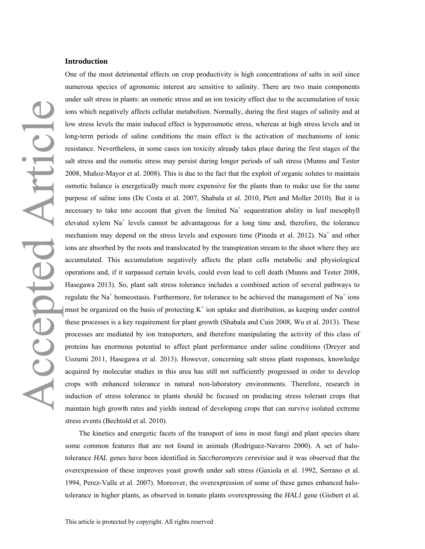# **Introduction**

Articl Accepted One of the most detrimental effects on crop productivity is high concentrations of salts in soil since numerous species of agronomic interest are sensitive to salinity. There are two main components under salt stress in plants: an osmotic stress and an ion toxicity effect due to the accumulation of toxic ions which negatively affects cellular metabolism. Normally, during the first stages of salinity and at low stress levels the main induced effect is hyperosmotic stress, whereas at high stress levels and in long-term periods of saline conditions the main effect is the activation of mechanisms of ionic resistance. Nevertheless, in some cases ion toxicity already takes place during the first stages of the salt stress and the osmotic stress may persist during longer periods of salt stress (Munns and Tester 2008, Muñoz-Mayor et al. 2008). This is due to the fact that the exploit of organic solutes to maintain osmotic balance is energetically much more expensive for the plants than to make use for the same purpose of saline ions (De Costa et al. 2007, Shabala et al. 2010, Plett and Moller 2010). But it is necessary to take into account that given the limited Na<sup>+</sup> sequestration ability in leaf mesophyll elevated xylem Na<sup>+</sup> levels cannot be advantageous for a long time and, therefore, the tolerance mechanism may depend on the stress levels and exposure time (Pineda et al. 2012). Na<sup>+</sup> and other ions are absorbed by the roots and translocated by the transpiration stream to the shoot where they are accumulated. This accumulation negatively affects the plant cells metabolic and physiological operations and, if it surpassed certain levels, could even lead to cell death (Munns and Tester 2008, Hasegawa 2013). So, plant salt stress tolerance includes a combined action of several pathways to regulate the Na<sup>+</sup> homeostasis. Furthermore, for tolerance to be achieved the management of Na<sup>+</sup> ions must be organized on the basis of protecting  $K^+$  ion uptake and distribution, as keeping under control these processes is a key requirement for plant growth (Shabala and Cuin 2008, Wu et al. 2013). These processes are mediated by ion transporters, and therefore manipulating the activity of this class of proteins has enormous potential to affect plant performance under saline conditions (Dreyer and Uozumi 2011, Hasegawa et al. 2013). However, concerning salt stress plant responses, knowledge acquired by molecular studies in this area has still not sufficiently progressed in order to develop crops with enhanced tolerance in natural non-laboratory environments. Therefore, research in induction of stress tolerance in plants should be focused on producing stress tolerant crops that maintain high growth rates and yields instead of developing crops that can survive isolated extreme stress events (Bechtold et al. 2010).

The kinetics and energetic facets of the transport of ions in most fungi and plant species share some common features that are not found in animals (Rodriguez-Navarro 2000). A set of halotolerance *HAL* genes have been identified in *Saccharomyces cerevisiae* and it was observed that the overexpression of these improves yeast growth under salt stress (Gaxiola et al. 1992, Serrano et al. 1994, Perez-Valle et al. 2007). Moreover, the overexpression of some of these genes enhanced halotolerance in higher plants, as observed in tomato plants overexpressing the *HAL1* gene (Gisbert et al.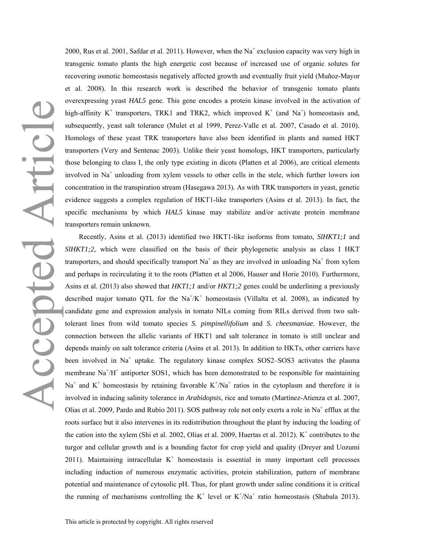Articl Accepted

2000, Rus et al. 2001, Safdar et al. 2011). However, when the Na<sup>+</sup> exclusion capacity was very high in transgenic tomato plants the high energetic cost because of increased use of organic solutes for recovering osmotic homeostasis negatively affected growth and eventually fruit yield (Muñoz-Mayor et al. 2008). In this research work is described the behavior of transgenic tomato plants overexpressing yeast *HAL5* gene. This gene encodes a protein kinase involved in the activation of high-affinity K<sup>+</sup> transporters, TRK1 and TRK2, which improved K<sup>+</sup> (and Na<sup>+</sup>) homeostasis and, subsequently, yeast salt tolerance (Mulet et al 1999, Perez-Valle et al. 2007, Casado et al. 2010). Homologs of these yeast TRK transporters have also been identified in plants and named HKT transporters (Very and Sentenac 2003). Unlike their yeast homologs, HKT transporters, particularly those belonging to class I, the only type existing in dicots (Platten et al 2006), are critical elements involved in Na<sup>+</sup> unloading from xylem vessels to other cells in the stele, which further lowers ion concentration in the transpiration stream (Hasegawa 2013). As with TRK transporters in yeast, genetic evidence suggests a complex regulation of HKT1-like transporters (Asins et al. 2013). In fact, the specific mechanisms by which *HAL5* kinase may stabilize and/or activate protein membrane transporters remain unknown.

Recently, Asins et al. (2013) identified two HKT1-like isoforms from tomato, *SlHKT1;1* and *SlHKT1;2*, which were classified on the basis of their phylogenetic analysis as class I HKT transporters, and should specifically transport  $Na<sup>+</sup>$  as they are involved in unloading  $Na<sup>+</sup>$  from xylem and perhaps in recirculating it to the roots (Platten et al 2006, Hauser and Horie 2010). Furthermore, Asins et al. (2013) also showed that *HKT1;1* and/or *HKT1;2* genes could be underlining a previously described major tomato QTL for the  $Na^{+}/K^{+}$  homeostasis (Villalta et al. 2008), as indicated by candidate gene and expression analysis in tomato NILs coming from RILs derived from two salttolerant lines from wild tomato species *S. pimpinellifolium* and *S. cheesmaniae.* However, the connection between the allelic variants of HKT1 and salt tolerance in tomato is still unclear and depends mainly on salt tolerance criteria (Asins et al. 2013). In addition to HKTs, other carriers have been involved in Na<sup>+</sup> uptake. The regulatory kinase complex SOS2–SOS3 activates the plasma membrane  $\text{Na}^+/\text{H}^+$  antiporter SOS1, which has been demonstrated to be responsible for maintaining Na<sup>+</sup> and K<sup>+</sup> homeostasis by retaining favorable K<sup>+</sup>/Na<sup>+</sup> ratios in the cytoplasm and therefore it is involved in inducing salinity tolerance in *Arabidopsis*, rice and tomato (Martínez-Atienza et al. 2007, Olias et al. 2009, Pardo and Rubio 2011). SOS pathway role not only exerts a role in  $Na<sup>+</sup>$  efflux at the roots surface but it also intervenes in its redistribution throughout the plant by inducing the loading of the cation into the xylem (Shi et al. 2002, Olias et al. 2009, Huertas et al. 2012).  $K^+$  contributes to the turgor and cellular growth and is a bounding factor for crop yield and quality (Dreyer and Uozumi 2011). Maintaining intracellular  $K^+$  homeostasis is essential in many important cell processes including induction of numerous enzymatic activities, protein stabilization, pattern of membrane potential and maintenance of cytosolic pH. Thus, for plant growth under saline conditions it is critical the running of mechanisms controlling the  $K^+$  level or  $K^+/Na^+$  ratio homeostasis (Shabala 2013).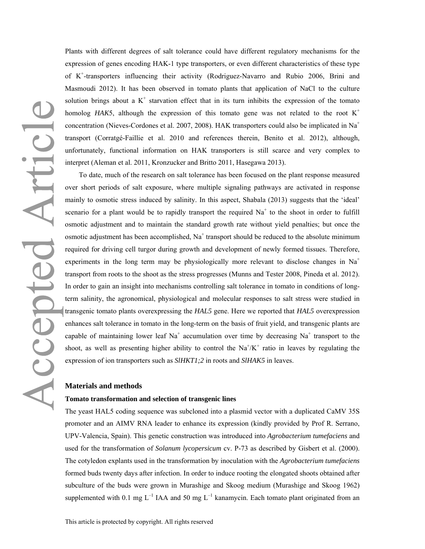Plants with different degrees of salt tolerance could have different regulatory mechanisms for the expression of genes encoding HAK-1 type transporters, or even different characteristics of these type of K+ -transporters influencing their activity (Rodriguez-Navarro and Rubio 2006, Brini and Masmoudi 2012). It has been observed in tomato plants that application of NaCl to the culture solution brings about a  $K^+$  starvation effect that in its turn inhibits the expression of the tomato homolog *HAK*5, although the expression of this tomato gene was not related to the root  $K^+$ concentration (Nieves-Cordones et al. 2007, 2008). HAK transporters could also be implicated in Na+ transport (Corratgé-Faillie et al. 2010 and references therein, Benito et al. 2012), although, unfortunately, functional information on HAK transporters is still scarce and very complex to interpret (Aleman et al. 2011, Kronzucker and Britto 2011, Hasegawa 2013).

To date, much of the research on salt tolerance has been focused on the plant response measured over short periods of salt exposure, where multiple signaling pathways are activated in response mainly to osmotic stress induced by salinity. In this aspect, Shabala (2013) suggests that the 'ideal' scenario for a plant would be to rapidly transport the required  $Na<sup>+</sup>$  to the shoot in order to fulfill osmotic adjustment and to maintain the standard growth rate without yield penalties; but once the osmotic adjustment has been accomplished,  $Na<sup>+</sup>$  transport should be reduced to the absolute minimum required for driving cell turgor during growth and development of newly formed tissues. Therefore, experiments in the long term may be physiologically more relevant to disclose changes in  $Na<sup>+</sup>$ transport from roots to the shoot as the stress progresses (Munns and Tester 2008, Pineda et al. 2012). In order to gain an insight into mechanisms controlling salt tolerance in tomato in conditions of longterm salinity, the agronomical, physiological and molecular responses to salt stress were studied in transgenic tomato plants overexpressing the *HAL5* gene. Here we reported that *HAL5* overexpression enhances salt tolerance in tomato in the long-term on the basis of fruit yield, and transgenic plants are capable of maintaining lower leaf  $Na^+$  accumulation over time by decreasing  $Na^+$  transport to the shoot, as well as presenting higher ability to control the  $Na^{+}/K^{+}$  ratio in leaves by regulating the expression of ion transporters such as *SlHKT1;2* in roots and *SlHAK5* in leaves.

#### **Materials and methods**

#### **Tomato transformation and selection of transgenic lines**

The yeast HAL5 coding sequence was subcloned into a plasmid vector with a duplicated CaMV 35S promoter and an AIMV RNA leader to enhance its expression (kindly provided by Prof R. Serrano, UPV-Valencia, Spain). This genetic construction was introduced into *Agrobacterium tumefaciens* and used for the transformation of *Solanum lycopersicum* cv. P-73 as described by Gisbert et al. (2000). The cotyledon explants used in the transformation by inoculation with the *Agrobacterium tumefaciens* formed buds twenty days after infection. In order to induce rooting the elongated shoots obtained after subculture of the buds were grown in Murashige and Skoog medium (Murashige and Skoog 1962) supplemented with 0.1 mg  $L^{-1}$  IAA and 50 mg  $L^{-1}$  kanamycin. Each tomato plant originated from an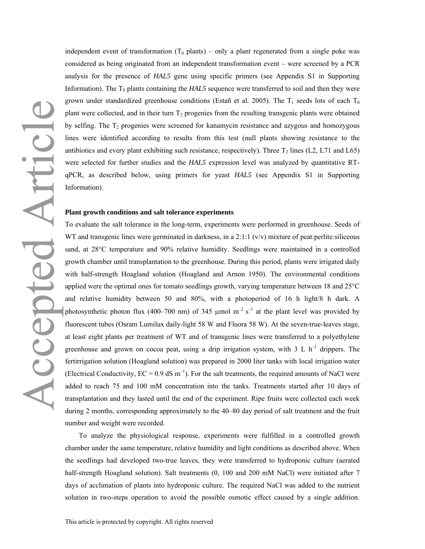independent event of transformation  $(T_0$  plants) – only a plant regenerated from a single poke was considered as being originated from an independent transformation event – were screened by a PCR analysis for the presence of *HAL5* gene using specific primers (see Appendix S1 in Supporting Information). The  $T_0$  plants containing the *HAL5* sequence were transferred to soil and then they were grown under standardized greenhouse conditions (Estañ et al. 2005). The  $T_1$  seeds lots of each  $T_0$ plant were collected, and in their turn  $T_2$  progenies from the resulting transgenic plants were obtained by selfing. The  $T_2$  progenies were screened for kanamycin resistance and azygous and homozygous lines were identified according to results from this test (null plants showing resistance to the antibiotics and every plant exhibiting such resistance, respectively). Three  $T_2$  lines (L2, L71 and L65) were selected for further studies and the *HAL5* expression level was analyzed by quantitative RTqPCR, as described below, using primers for yeast *HAL5* (see Appendix S1 in Supporting Information).

#### **Plant growth conditions and salt tolerance experiments**

To evaluate the salt tolerance in the long-term, experiments were performed in greenhouse. Seeds of WT and transgenic lines were germinated in darkness, in a  $2:1:1$  ( $v/v$ ) mixture of peat:perlite:siliceous sand, at 28°C temperature and 90% relative humidity. Seedlings were maintained in a controlled growth chamber until transplantation to the greenhouse. During this period, plants were irrigated daily with half-strength Hoagland solution (Hoagland and Arnon 1950). The environmental conditions applied were the optimal ones for tomato seedlings growth, varying temperature between 18 and 25°C and relative humidity between 50 and 80%, with a photoperiod of 16 h light/8 h dark. A photosynthetic photon flux (400–700 nm) of 345  $\mu$ mol m<sup>-2</sup> s<sup>-1</sup> at the plant level was provided by fluorescent tubes (Osram Lumilux daily-light 58 W and Fluora 58 W). At the seven-true-leaves stage, at least eight plants per treatment of WT and of transgenic lines were transferred to a polyethylene greenhouse and grown on cocoa peat, using a drip irrigation system, with  $3 \text{ L } h^{-1}$  drippers. The fertirrigation solution (Hoagland solution) was prepared in 2000 liter tanks with local irrigation water (Electrical Conductivity,  $EC = 0.9$  dS m<sup>-1</sup>). For the salt treatments, the required amounts of NaCl were added to reach 75 and 100 mM concentration into the tanks. Treatments started after 10 days of transplantation and they lasted until the end of the experiment. Ripe fruits were collected each week during 2 months, corresponding approximately to the 40–80 day period of salt treatment and the fruit number and weight were recorded.

To analyze the physiological response, experiments were fulfilled in a controlled growth chamber under the same temperature, relative humidity and light conditions as described above. When the seedlings had developed two-true leaves, they were transferred to hydroponic culture (aerated half-strength Hoagland solution). Salt treatments (0, 100 and 200 mM NaCl) were initiated after 7 days of acclimation of plants into hydroponic culture. The required NaCl was added to the nutrient solution in two-steps operation to avoid the possible osmotic effect caused by a single addition.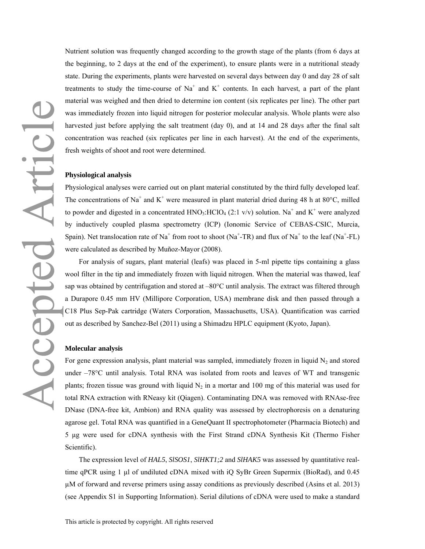Nutrient solution was frequently changed according to the growth stage of the plants (from 6 days at the beginning, to 2 days at the end of the experiment), to ensure plants were in a nutritional steady state. During the experiments, plants were harvested on several days between day 0 and day 28 of salt treatments to study the time-course of  $Na^+$  and  $K^+$  contents. In each harvest, a part of the plant material was weighed and then dried to determine ion content (six replicates per line). The other part was immediately frozen into liquid nitrogen for posterior molecular analysis. Whole plants were also harvested just before applying the salt treatment (day 0), and at 14 and 28 days after the final salt concentration was reached (six replicates per line in each harvest). At the end of the experiments, fresh weights of shoot and root were determined.

### **Physiological analysis**

Physiological analyses were carried out on plant material constituted by the third fully developed leaf. The concentrations of Na<sup>+</sup> and K<sup>+</sup> were measured in plant material dried during 48 h at 80°C, milled to powder and digested in a concentrated  $HNO<sub>3</sub>:HClO<sub>4</sub> (2:1 v/v)$  solution. Na<sup>+</sup> and K<sup>+</sup> were analyzed by inductively coupled plasma spectrometry (ICP) (Ionomic Service of CEBAS-CSIC, Murcia, Spain). Net translocation rate of Na<sup>+</sup> from root to shoot (Na<sup>+</sup>-TR) and flux of Na<sup>+</sup> to the leaf (Na<sup>+</sup>-FL) were calculated as described by Muñoz-Mayor (2008).

For analysis of sugars, plant material (leafs) was placed in 5-ml pipette tips containing a glass wool filter in the tip and immediately frozen with liquid nitrogen. When the material was thawed, leaf sap was obtained by centrifugation and stored at –80°C until analysis. The extract was filtered through a Durapore 0.45 mm HV (Millipore Corporation, USA) membrane disk and then passed through a C18 Plus Sep-Pak cartridge (Waters Corporation, Massachusetts, USA). Quantification was carried out as described by Sanchez-Bel (2011) using a Shimadzu HPLC equipment (Kyoto, Japan).

#### **Molecular analysis**

For gene expression analysis, plant material was sampled, immediately frozen in liquid  $N<sub>2</sub>$  and stored under –78°C until analysis. Total RNA was isolated from roots and leaves of WT and transgenic plants; frozen tissue was ground with liquid  $N_2$  in a mortar and 100 mg of this material was used for total RNA extraction with RNeasy kit (Qiagen). Contaminating DNA was removed with RNAse-free DNase (DNA-free kit, Ambion) and RNA quality was assessed by electrophoresis on a denaturing agarose gel. Total RNA was quantified in a GeneQuant II spectrophotometer (Pharmacia Biotech) and 5 μg were used for cDNA synthesis with the First Strand cDNA Synthesis Kit (Thermo Fisher Scientific).

The expression level of *HAL5*, *SlSOS1*, *SlHKT1;2* and *SlHAK5* was assessed by quantitative realtime qPCR using 1 µl of undiluted cDNA mixed with iQ SyBr Green Supermix (BioRad), and 0.45 µM of forward and reverse primers using assay conditions as previously described (Asins et al. 2013) (see Appendix S1 in Supporting Information). Serial dilutions of cDNA were used to make a standard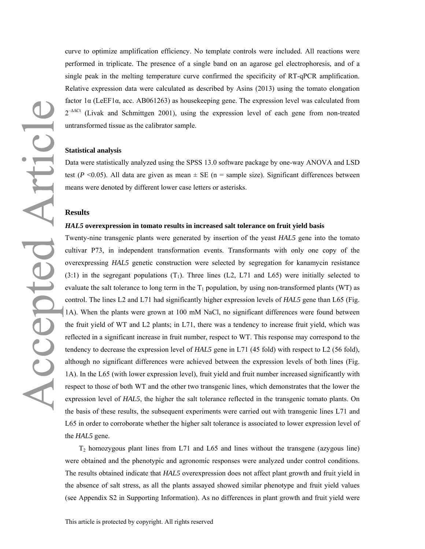curve to optimize amplification efficiency. No template controls were included. All reactions were performed in triplicate. The presence of a single band on an agarose gel electrophoresis, and of a single peak in the melting temperature curve confirmed the specificity of RT-qPCR amplification. Relative expression data were calculated as described by Asins (2013) using the tomato elongation factor 1α (LeEF1α, acc. AB061263) as housekeeping gene. The expression level was calculated from 2<sup>-∆∆Ct</sup> (Livak and Schmittgen 2001), using the expression level of each gene from non-treated untransformed tissue as the calibrator sample.

### **Statistical analysis**

Data were statistically analyzed using the SPSS 13.0 software package by one-way ANOVA and LSD test ( $P \le 0.05$ ). All data are given as mean  $\pm$  SE (n = sample size). Significant differences between means were denoted by different lower case letters or asterisks.

# **Results**

### *HAL5* **overexpression in tomato results in increased salt tolerance on fruit yield basis**

Twenty-nine transgenic plants were generated by insertion of the yeast *HAL5* gene into the tomato cultivar P73, in independent transformation events. Transformants with only one copy of the overexpressing *HAL5* genetic construction were selected by segregation for kanamycin resistance  $(3:1)$  in the segregant populations  $(T_1)$ . Three lines  $(L2, L71)$  and  $L65$ ) were initially selected to evaluate the salt tolerance to long term in the  $T_1$  population, by using non-transformed plants (WT) as control. The lines L2 and L71 had significantly higher expression levels of *HAL5* gene than L65 (Fig. 1A). When the plants were grown at 100 mM NaCl, no significant differences were found between the fruit yield of WT and L2 plants; in L71, there was a tendency to increase fruit yield, which was reflected in a significant increase in fruit number, respect to WT. This response may correspond to the tendency to decrease the expression level of *HAL5* gene in L71 (45 fold) with respect to L2 (56 fold), although no significant differences were achieved between the expression levels of both lines (Fig. 1A). In the L65 (with lower expression level), fruit yield and fruit number increased significantly with respect to those of both WT and the other two transgenic lines, which demonstrates that the lower the expression level of *HAL5*, the higher the salt tolerance reflected in the transgenic tomato plants. On the basis of these results, the subsequent experiments were carried out with transgenic lines L71 and L65 in order to corroborate whether the higher salt tolerance is associated to lower expression level of the *HAL5* gene.

 $T_2$  homozygous plant lines from L71 and L65 and lines without the transgene (azygous line) were obtained and the phenotypic and agronomic responses were analyzed under control conditions. The results obtained indicate that *HAL5* overexpression does not affect plant growth and fruit yield in the absence of salt stress, as all the plants assayed showed similar phenotype and fruit yield values (see Appendix S2 in Supporting Information). As no differences in plant growth and fruit yield were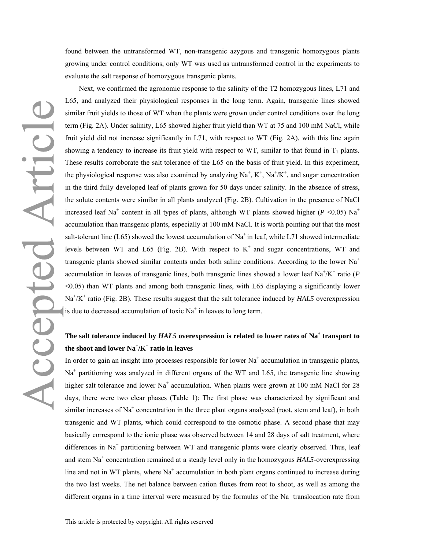found between the untransformed WT, non-transgenic azygous and transgenic homozygous plants growing under control conditions, only WT was used as untransformed control in the experiments to evaluate the salt response of homozygous transgenic plants.

Next, we confirmed the agronomic response to the salinity of the T2 homozygous lines, L71 and L65, and analyzed their physiological responses in the long term. Again, transgenic lines showed similar fruit yields to those of WT when the plants were grown under control conditions over the long term (Fig. 2A). Under salinity, L65 showed higher fruit yield than WT at 75 and 100 mM NaCl, while fruit yield did not increase significantly in L71, with respect to WT (Fig. 2A), with this line again showing a tendency to increase its fruit yield with respect to WT, similar to that found in  $T_1$  plants. These results corroborate the salt tolerance of the L65 on the basis of fruit yield. In this experiment, the physiological response was also examined by analyzing  $Na^+$ ,  $K^+$ ,  $Na^+/K^+$ , and sugar concentration in the third fully developed leaf of plants grown for 50 days under salinity. In the absence of stress, the solute contents were similar in all plants analyzed (Fig. 2B). Cultivation in the presence of NaCl increased leaf Na<sup>+</sup> content in all types of plants, although WT plants showed higher ( $P \le 0.05$ ) Na<sup>+</sup> accumulation than transgenic plants, especially at 100 mM NaCl. It is worth pointing out that the most salt-tolerant line (L65) showed the lowest accumulation of  $Na^+$  in leaf, while L71 showed intermediate levels between WT and L65 (Fig. 2B). With respect to  $K^+$  and sugar concentrations, WT and transgenic plants showed similar contents under both saline conditions. According to the lower Na+ accumulation in leaves of transgenic lines, both transgenic lines showed a lower leaf  $Na^{\dagger}/K^{\dagger}$  ratio (*P* <0.05) than WT plants and among both transgenic lines, with L65 displaying a significantly lower Na<sup>+</sup>/K<sup>+</sup> ratio (Fig. 2B). These results suggest that the salt tolerance induced by *HAL5* overexpression is due to decreased accumulation of toxic  $Na<sup>+</sup>$  in leaves to long term.

# The salt tolerance induced by *HAL5* overexpression is related to lower rates of Na<sup>+</sup> transport to **the shoot and lower Na+ /K<sup>+</sup> ratio in leaves**

In order to gain an insight into processes responsible for lower  $Na<sup>+</sup>$  accumulation in transgenic plants, Na<sup>+</sup> partitioning was analyzed in different organs of the WT and L65, the transgenic line showing higher salt tolerance and lower Na<sup>+</sup> accumulation. When plants were grown at 100 mM NaCl for 28 days, there were two clear phases (Table 1): The first phase was characterized by significant and similar increases of Na<sup>+</sup> concentration in the three plant organs analyzed (root, stem and leaf), in both transgenic and WT plants, which could correspond to the osmotic phase. A second phase that may basically correspond to the ionic phase was observed between 14 and 28 days of salt treatment, where differences in Na<sup>+</sup> partitioning between WT and transgenic plants were clearly observed. Thus, leaf and stem Na<sup>+</sup> concentration remained at a steady level only in the homozygous *HAL5*-overexpressing line and not in WT plants, where  $Na<sup>+</sup>$  accumulation in both plant organs continued to increase during the two last weeks. The net balance between cation fluxes from root to shoot, as well as among the different organs in a time interval were measured by the formulas of the  $Na<sup>+</sup>$  translocation rate from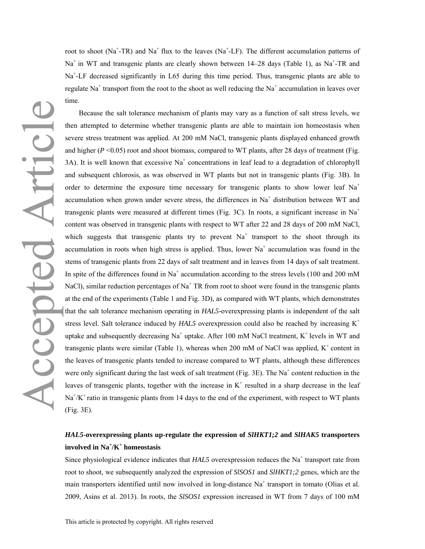root to shoot (Na<sup>+</sup>-TR) and Na<sup>+</sup> flux to the leaves (Na<sup>+</sup>-LF). The different accumulation patterns of  $Na<sup>+</sup>$  in WT and transgenic plants are clearly shown between 14–28 days (Table 1), as Na<sup>+</sup>-TR and Na<sup>+</sup>-LF decreased significantly in L65 during this time period. Thus, transgenic plants are able to regulate  $Na<sup>+</sup>$  transport from the root to the shoot as well reducing the  $Na<sup>+</sup>$  accumulation in leaves over time.

Accepted Articl

Because the salt tolerance mechanism of plants may vary as a function of salt stress levels, we then attempted to determine whether transgenic plants are able to maintain ion homeostasis when severe stress treatment was applied. At 200 mM NaCl, transgenic plants displayed enhanced growth and higher  $(P \le 0.05)$  root and shoot biomass, compared to WT plants, after 28 days of treatment (Fig. 3A). It is well known that excessive  $Na<sup>+</sup>$  concentrations in leaf lead to a degradation of chlorophyll and subsequent chlorosis, as was observed in WT plants but not in transgenic plants (Fig. 3B). In order to determine the exposure time necessary for transgenic plants to show lower leaf  $Na<sup>+</sup>$ accumulation when grown under severe stress, the differences in  $Na<sup>+</sup>$  distribution between WT and transgenic plants were measured at different times (Fig. 3C). In roots, a significant increase in  $Na<sup>+</sup>$ content was observed in transgenic plants with respect to WT after 22 and 28 days of 200 mM NaCl, which suggests that transgenic plants try to prevent  $Na<sup>+</sup>$  transport to the shoot through its accumulation in roots when high stress is applied. Thus, lower  $Na<sup>+</sup>$  accumulation was found in the stems of transgenic plants from 22 days of salt treatment and in leaves from 14 days of salt treatment. In spite of the differences found in  $Na<sup>+</sup>$  accumulation according to the stress levels (100 and 200 mM NaCl), similar reduction percentages of Na<sup>+</sup> TR from root to shoot were found in the transgenic plants at the end of the experiments (Table 1 and Fig. 3D), as compared with WT plants, which demonstrates that the salt tolerance mechanism operating in *HAL5-*overexpressing plants is independent of the salt stress level. Salt tolerance induced by *HAL5* overexpression could also be reached by increasing K<sup>+</sup> uptake and subsequently decreasing  $Na<sup>+</sup>$  uptake. After 100 mM NaCl treatment,  $K<sup>+</sup>$  levels in WT and transgenic plants were similar (Table 1), whereas when 200 mM of NaCl was applied,  $K^+$  content in the leaves of transgenic plants tended to increase compared to WT plants, although these differences were only significant during the last week of salt treatment (Fig. 3E). The  $Na<sup>+</sup>$  content reduction in the leaves of transgenic plants, together with the increase in  $K^+$  resulted in a sharp decrease in the leaf  $Na<sup>+</sup>/K<sup>+</sup>$  ratio in transgenic plants from 14 days to the end of the experiment, with respect to WT plants (Fig. 3E).

# *HAL5***-overexpressing plants up-regulate the expression of** *SlHKT1;2* **and** *SlHAK5* **transporters involved in Na+ /K<sup>+</sup> homeostasis**

Since physiological evidence indicates that *HAL5* overexpression reduces the Na<sup>+</sup> transport rate from root to shoot, we subsequently analyzed the expression of *SlSOS1* and *SlHKT1;2* genes, which are the main transporters identified until now involved in long-distance Na<sup>+</sup> transport in tomato (Olias et al. 2009, Asins et al. 2013). In roots, the *SlSOS1* expression increased in WT from 7 days of 100 mM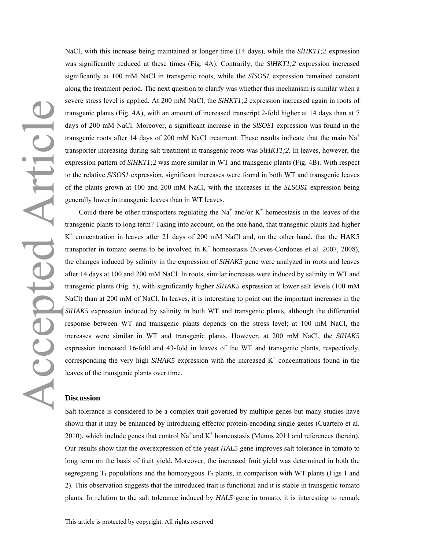NaCl, with this increase being maintained at longer time (14 days), while the *SlHKT1;2* expression was significantly reduced at these times (Fig. 4A). Contrarily, the *SlHKT1;2* expression increased significantly at 100 mM NaCl in transgenic roots, while the *SlSOS1* expression remained constant along the treatment period. The next question to clarify was whether this mechanism is similar when a severe stress level is applied. At 200 mM NaCl, the *SlHKT1;2* expression increased again in roots of transgenic plants (Fig. 4A), with an amount of increased transcript 2-fold higher at 14 days than at 7 days of 200 mM NaCl. Moreover, a significant increase in the *SlSOS1* expression was found in the transgenic roots after 14 days of 200 mM NaCl treatment. These results indicate that the main Na<sup>+</sup> transporter increasing during salt treatment in transgenic roots was *SlHKT1;2.* In leaves, however, the expression pattern of *SlHKT1;2* was more similar in WT and transgenic plants (Fig. 4B). With respect to the relative *SlSOS1* expression, significant increases were found in both WT and transgenic leaves of the plants grown at 100 and 200 mM NaCl, with the increases in the *SLSOS1* expression being generally lower in transgenic leaves than in WT leaves.

Could there be other transporters regulating the  $Na<sup>+</sup>$  and/or  $K<sup>+</sup>$  homeostasis in the leaves of the transgenic plants to long term? Taking into account, on the one hand, that transgenic plants had higher K<sup>+</sup> concentration in leaves after 21 days of 200 mM NaCl and, on the other hand, that the HAK5 transporter in tomato seems to be involved in  $K^+$  homeostasis (Nieves-Cordones et al. 2007, 2008), the changes induced by salinity in the expression of *SlHAK5* gene were analyzed in roots and leaves after 14 days at 100 and 200 mM NaCl. In roots, similar increases were induced by salinity in WT and transgenic plants (Fig. 5), with significantly higher *SlHAK5* expression at lower salt levels (100 mM NaCl) than at 200 mM of NaCl. In leaves, it is interesting to point out the important increases in the *SlHAK5* expression induced by salinity in both WT and transgenic plants, although the differential response between WT and transgenic plants depends on the stress level; at 100 mM NaCl, the increases were similar in WT and transgenic plants. However, at 200 mM NaCl, the *SlHAK5* expression increased 16-fold and 43-fold in leaves of the WT and transgenic plants, respectively, corresponding the very high  $SIHAK5$  expression with the increased  $K^+$  concentrations found in the leaves of the transgenic plants over time.

# **Discussion**

Salt tolerance is considered to be a complex trait governed by multiple genes but many studies have shown that it may be enhanced by introducing effector protein-encoding single genes (Cuartero et al. 2010), which include genes that control Na<sup>+</sup> and K<sup>+</sup> homeostasis (Munns 2011 and references therein). Our results show that the overexpression of the yeast *HAL5* gene improves salt tolerance in tomato to long term on the basis of fruit yield. Moreover, the increased fruit yield was determined in both the segregating  $T_1$  populations and the homozygous  $T_2$  plants, in comparison with WT plants (Figs 1 and 2). This observation suggests that the introduced trait is functional and it is stable in transgenic tomato plants. In relation to the salt tolerance induced by *HAL5* gene in tomato, it is interesting to remark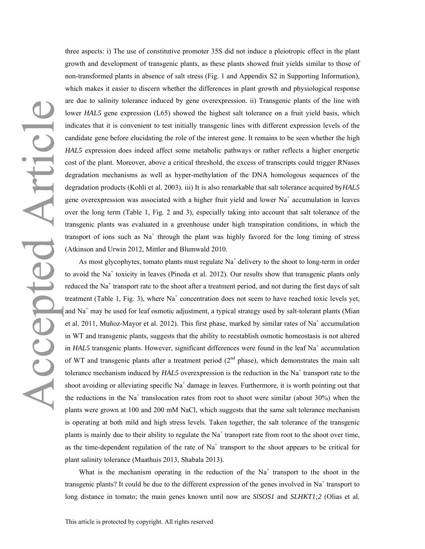three aspects: i) The use of constitutive promoter 35S did not induce a pleiotropic effect in the plant growth and development of transgenic plants, as these plants showed fruit yields similar to those of non-transformed plants in absence of salt stress (Fig. 1 and Appendix S2 in Supporting Information), which makes it easier to discern whether the differences in plant growth and physiological response are due to salinity tolerance induced by gene overexpression. ii) Transgenic plants of the line with lower *HAL5* gene expression (L65) showed the highest salt tolerance on a fruit yield basis, which indicates that it is convenient to test initially transgenic lines with different expression levels of the candidate gene before elucidating the role of the interest gene. It remains to be seen whether the high *HAL5* expression does indeed affect some metabolic pathways or rather reflects a higher energetic cost of the plant. Moreover, above a critical threshold, the excess of transcripts could trigger RNases degradation mechanisms as well as hyper-methylation of the DNA homologous sequences of the degradation products (Kohli et al. 2003). iii) It is also remarkable that salt tolerance acquired by*HAL5*  gene overexpression was associated with a higher fruit yield and lower  $Na<sup>+</sup>$  accumulation in leaves over the long term (Table 1, Fig. 2 and 3), especially taking into account that salt tolerance of the transgenic plants was evaluated in a greenhouse under high transpiration conditions, in which the transport of ions such as Na<sup>+</sup> through the plant was highly favored for the long timing of stress (Atkinson and Urwin 2012, Mittler and Blumwald 2010.

As most glycophytes, tomato plants must regulate  $Na<sup>+</sup>$  delivery to the shoot to long-term in order to avoid the Na<sup>+</sup> toxicity in leaves (Pineda et al. 2012). Our results show that transgenic plants only reduced the Na<sup>+</sup> transport rate to the shoot after a treatment period, and not during the first days of salt treatment (Table 1, Fig. 3), where  $Na<sup>+</sup>$  concentration does not seem to have reached toxic levels yet, and Na<sup>+</sup> may be used for leaf osmotic adjustment, a typical strategy used by salt-tolerant plants (Mian et al. 2011, Muñoz-Mayor et al. 2012). This first phase, marked by similar rates of Na<sup>+</sup> accumulation in WT and transgenic plants, suggests that the ability to reestablish osmotic homeostasis is not altered in  $HAL5$  transgenic plants. However, significant differences were found in the leaf  $Na<sup>+</sup>$  accumulation of WT and transgenic plants after a treatment period  $(2<sup>nd</sup>$  phase), which demonstrates the main salt tolerance mechanism induced by *HAL5* overexpression is the reduction in the Na<sup>+</sup> transport rate to the shoot avoiding or alleviating specific Na<sup>+</sup> damage in leaves. Furthermore, it is worth pointing out that the reductions in the Na<sup>+</sup> translocation rates from root to shoot were similar (about  $30\%$ ) when the plants were grown at 100 and 200 mM NaCl, which suggests that the same salt tolerance mechanism is operating at both mild and high stress levels. Taken together, the salt tolerance of the transgenic plants is mainly due to their ability to regulate the  $Na<sup>+</sup>$  transport rate from root to the shoot over time, as the time-dependent regulation of the rate of  $Na<sup>+</sup>$  transport to the shoot appears to be critical for plant salinity tolerance (Maathuis 2013, Shabala 2013).

What is the mechanism operating in the reduction of the  $Na<sup>+</sup>$  transport to the shoot in the transgenic plants? It could be due to the different expression of the genes involved in  $Na<sup>+</sup>$  transport to long distance in tomato; the main genes known until now are *SlSOS1* and *SLHKT1;2* (Olias et al.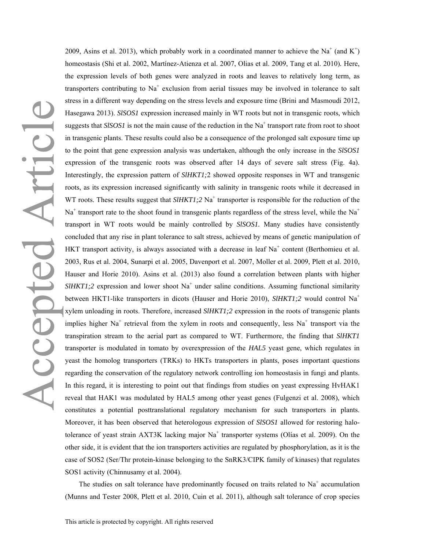2009, Asins et al. 2013), which probably work in a coordinated manner to achieve the Na<sup>+</sup> (and K<sup>+</sup>) homeostasis (Shi et al. 2002, Martínez-Atienza et al. 2007, Olias et al. 2009, Tang et al. 2010)*.* Here, the expression levels of both genes were analyzed in roots and leaves to relatively long term, as transporters contributing to  $Na<sup>+</sup>$  exclusion from aerial tissues may be involved in tolerance to salt stress in a different way depending on the stress levels and exposure time (Brini and Masmoudi 2012, Hasegawa 2013). *SlSOS1* expression increased mainly in WT roots but not in transgenic roots, which suggests that  $SISOSI$  is not the main cause of the reduction in the  $Na<sup>+</sup>$  transport rate from root to shoot in transgenic plants. These results could also be a consequence of the prolonged salt exposure time up to the point that gene expression analysis was undertaken, although the only increase in the *SlSOS1* expression of the transgenic roots was observed after 14 days of severe salt stress (Fig. 4a). Interestingly, the expression pattern of *SlHKT1;*2 showed opposite responses in WT and transgenic roots, as its expression increased significantly with salinity in transgenic roots while it decreased in WT roots. These results suggest that  $SIHKTI$ ;  $2$  Na<sup>+</sup> transporter is responsible for the reduction of the  $Na<sup>+</sup>$  transport rate to the shoot found in transgenic plants regardless of the stress level, while the  $Na<sup>+</sup>$ transport in WT roots would be mainly controlled by *SlSOS1.* Many studies have consistently concluded that any rise in plant tolerance to salt stress, achieved by means of genetic manipulation of HKT transport activity, is always associated with a decrease in leaf  $Na<sup>+</sup>$  content (Berthomieu et al. 2003, Rus et al. 2004, Sunarpi et al. 2005, Davenport et al. 2007, Moller et al. 2009, Plett et al. 2010, Hauser and Horie 2010). Asins et al. (2013) also found a correlation between plants with higher  $SIHKT1;2$  expression and lower shoot Na<sup>+</sup> under saline conditions. Assuming functional similarity between HKT1-like transporters in dicots (Hauser and Horie 2010), *SlHKT1;2* would control Na+ xylem unloading in roots. Therefore, increased *SlHKT1;2* expression in the roots of transgenic plants implies higher  $Na<sup>+</sup>$  retrieval from the xylem in roots and consequently, less  $Na<sup>+</sup>$  transport via the transpiration stream to the aerial part as compared to WT. Furthermore, the finding that *SlHKT1*  transporter is modulated in tomato by overexpression of the *HAL5* yeast gene, which regulates in yeast the homolog transporters (TRKs) to HKTs transporters in plants, poses important questions regarding the conservation of the regulatory network controlling ion homeostasis in fungi and plants. In this regard, it is interesting to point out that findings from studies on yeast expressing HvHAK1 reveal that HAK1 was modulated by HAL5 among other yeast genes (Fulgenzi et al. 2008), which constitutes a potential posttranslational regulatory mechanism for such transporters in plants. Moreover, it has been observed that heterologous expression of *SlSOS1* allowed for restoring halotolerance of yeast strain AXT3K lacking major Na<sup>+</sup> transporter systems (Olías et al. 2009). On the other side, it is evident that the ion transporters activities are regulated by phosphorylation, as it is the case of SOS2 (Ser/Thr protein-kinase belonging to the SnRK3/CIPK family of kinases) that regulates SOS1 activity (Chinnusamy et al. 2004).

The studies on salt tolerance have predominantly focused on traits related to  $Na<sup>+</sup>$  accumulation (Munns and Tester 2008, Plett et al. 2010, Cuin et al. 2011), although salt tolerance of crop species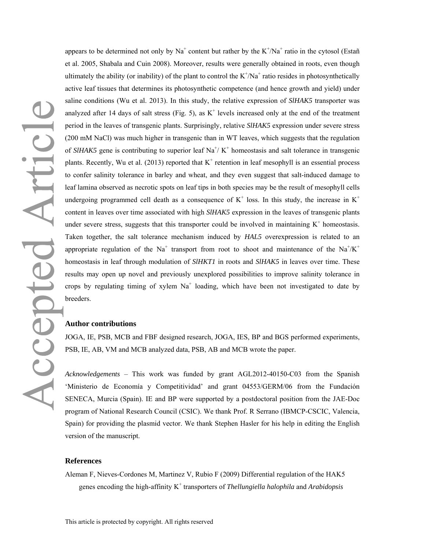appears to be determined not only by  $Na^+$  content but rather by the  $K^+/Na^+$  ratio in the cytosol (Estañ et al. 2005, Shabala and Cuin 2008). Moreover, results were generally obtained in roots, even though ultimately the ability (or inability) of the plant to control the  $K^+/Na^+$  ratio resides in photosynthetically active leaf tissues that determines its photosynthetic competence (and hence growth and yield) under saline conditions (Wu et al. 2013). In this study, the relative expression of *SlHAK5* transporter was analyzed after 14 days of salt stress (Fig. 5), as  $K^+$  levels increased only at the end of the treatment period in the leaves of transgenic plants. Surprisingly, relative *SlHAK5* expression under severe stress (200 mM NaCl) was much higher in transgenic than in WT leaves, which suggests that the regulation of *SIHAK5* gene is contributing to superior leaf  $Na^{+}/ K^{+}$  homeostasis and salt tolerance in transgenic plants. Recently, Wu et al. (2013) reported that  $K^+$  retention in leaf mesophyll is an essential process to confer salinity tolerance in barley and wheat, and they even suggest that salt-induced damage to leaf lamina observed as necrotic spots on leaf tips in both species may be the result of mesophyll cells undergoing programmed cell death as a consequence of  $K^+$  loss. In this study, the increase in  $K^+$ content in leaves over time associated with high *SlHAK5* expression in the leaves of transgenic plants under severe stress, suggests that this transporter could be involved in maintaining  $K^+$  homeostasis. Taken together, the salt tolerance mechanism induced by *HAL5* overexpression is related to an appropriate regulation of the Na<sup>+</sup> transport from root to shoot and maintenance of the Na<sup>+</sup>/K<sup>+</sup> homeostasis in leaf through modulation of *SlHKT1* in roots and *SlHAK5* in leaves over time. These results may open up novel and previously unexplored possibilities to improve salinity tolerance in crops by regulating timing of xylem  $Na<sup>+</sup>$  loading, which have been not investigated to date by breeders.

# **Author contributions**

JOGA, IE, PSB, MCB and FBF designed research, JOGA, IES, BP and BGS performed experiments, PSB, IE, AB, VM and MCB analyzed data, PSB, AB and MCB wrote the paper.

*Acknowledgements* – This work was funded by grant AGL2012-40150-C03 from the Spanish 'Ministerio de Economía y Competitividad' and grant 04553/GERM/06 from the Fundación SENECA, Murcia (Spain). IE and BP were supported by a postdoctoral position from the JAE-Doc program of National Research Council (CSIC). We thank Prof. R Serrano (IBMCP-CSCIC, Valencia, Spain) for providing the plasmid vector. We thank Stephen Hasler for his help in editing the English version of the manuscript.

#### **References**

Aleman F, Nieves-Cordones M, Martinez V, Rubio F (2009) Differential regulation of the HAK5 genes encoding the high-affinity K<sup>+</sup> transporters of *Thellungiella halophila* and *Arabidopsis*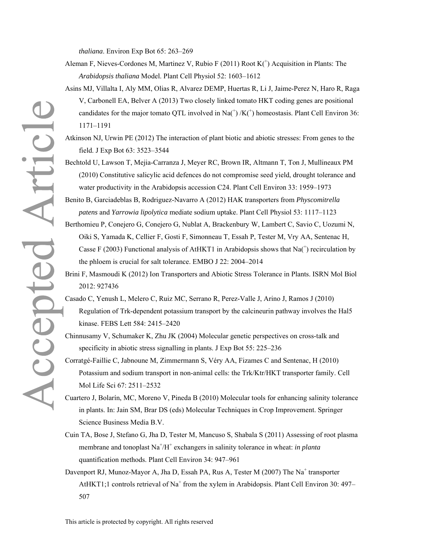*thaliana*. Environ Exp Bot 65: 263–269

- Aleman F, Nieves-Cordones M, Martinez V, Rubio F (2011) Root  $K^{+}$  Acquisition in Plants: The *Arabidopsis thaliana* Model. Plant Cell Physiol 52: 1603–1612
- Asins MJ, Villalta I, Aly MM, Olias R, Alvarez DEMP, Huertas R, Li J, Jaime-Perez N, Haro R, Raga V, Carbonell EA, Belver A (2013) Two closely linked tomato HKT coding genes are positional candidates for the major tomato QTL involved in Na( $^{+}$ )/K( $^{+}$ ) homeostasis. Plant Cell Environ 36: 1171–1191
- field. J Exp Bot 63: 3523–3544
- Bechtold U, Lawson T, Mejia-Carranza J, Meyer RC, Brown IR, Altmann T, Ton J, Mullineaux PM (2010) Constitutive salicylic acid defences do not compromise seed yield, drought tolerance and water productivity in the Arabidopsis accession C24. Plant Cell Environ 33: 1959–1973

Benito B, Garciadeblas B, Rodriguez-Navarro A (2012) HAK transporters from *Physcomitrella patens* and *Yarrowia lipolytica* mediate sodium uptake. Plant Cell Physiol 53: 1117–1123

1171-1191<br>
Atkinson NJ, Urwin PFi (2012) The interaction of plant biotic and abiotic stresses: From genes to the<br>
field, J. Fay But 63: 3523-3544<br>
Bechtold U, Lawson T, Melia-Carranza J, Meyer RC, Brown IR, Altmann T, Ton Berthomieu P, Conejero G, Conejero G, Nublat A, Brackenbury W, Lambert C, Savio C, Uozumi N, Oiki S, Yamada K, Cellier F, Gosti F, Simonneau T, Essah P, Tester M, Vry AA, Sentenac H, Casse F (2003) Functional analysis of AtHKT1 in Arabidopsis shows that  $Na<sup>+</sup>$  recirculation by the phloem is crucial for salt tolerance. EMBO J 22: 2004–2014

- Brini F, Masmoudi K (2012) Ion Transporters and Abiotic Stress Tolerance in Plants. ISRN Mol Biol 2012: 927436
- Casado C, Yenush L, Melero C, Ruiz MC, Serrano R, Perez-Valle J, Arino J, Ramos J (2010) Regulation of Trk-dependent potassium transport by the calcineurin pathway involves the Hal5 kinase. FEBS Lett 584: 2415–2420
- Chinnusamy V, Schumaker K, Zhu JK (2004) Molecular genetic perspectives on cross-talk and specificity in abiotic stress signalling in plants. J Exp Bot 55: 225–236
- Corratgé-Faillie C, Jabnoune M, Zimmermann S, Véry AA, Fizames C and Sentenac, H (2010) Potassium and sodium transport in non-animal cells: the Trk/Ktr/HKT transporter family. Cell Mol Life Sci 67: 2511–2532
- Cuartero J, Bolarín, MC, Moreno V, Pineda B (2010) Molecular tools for enhancing salinity tolerance in plants. In: Jain SM, Brar DS (eds) Molecular Techniques in Crop Improvement. Springer Science Business Media B.V.
- Cuin TA, Bose J, Stefano G, Jha D, Tester M, Mancuso S, Shabala S (2011) Assessing of root plasma membrane and tonoplast Na<sup>+</sup>/H<sup>+</sup> exchangers in salinity tolerance in wheat: *in planta* quantification methods. Plant Cell Environ 34: 947–961
- Davenport RJ, Munoz-Mayor A, Jha D, Essah PA, Rus A, Tester M (2007) The Na<sup>+</sup> transporter AtHKT1;1 controls retrieval of Na<sup>+</sup> from the xylem in Arabidopsis. Plant Cell Environ 30: 497– 507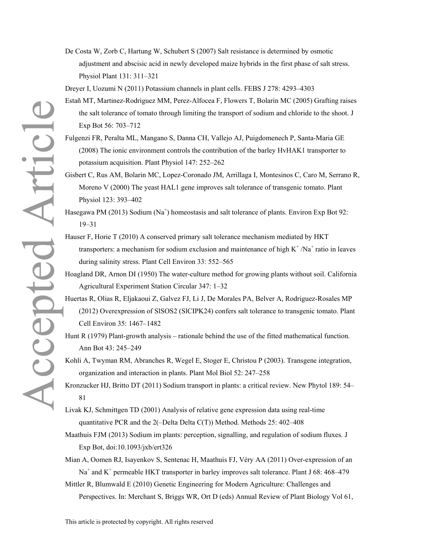De Costa W, Zorb C, Hartung W, Schubert S (2007) Salt resistance is determined by osmotic adjustment and abscisic acid in newly developed maize hybrids in the first phase of salt stress. Physiol Plant 131: 311–321

Dreyer I, Uozumi N (2011) Potassium channels in plant cells. FEBS J 278: 4293–4303

- Estañ MT, Martinez-Rodriguez MM, Perez-Alfocea F, Flowers T, Bolarin MC (2005) Grafting raises the salt tolerance of tomato through limiting the transport of sodium and chloride to the shoot. J Exp Bot 56: 703–712
- (2008) The ionic environment controls the contribution of the barley HvHAK1 transporter to potassium acquisition. Plant Physiol 147: 252–262
- Gisbert C, Rus AM, Bolarin MC, Lopez-Coronado JM, Arrillaga I, Montesinos C, Caro M, Serrano R, Moreno V (2000) The yeast HAL1 gene improves salt tolerance of transgenic tomato. Plant Physiol 123: 393–402
- Hasegawa PM (2013) Sodium (Na<sup>+</sup>) homeostasis and salt tolerance of plants. Environ Exp Bot 92: 19–31
- Hauser F, Horie T (2010) A conserved primary salt tolerance mechanism mediated by HKT transporters: a mechanism for sodium exclusion and maintenance of high  $K^+/Na^+$  ratio in leaves during salinity stress. Plant Cell Environ 33: 552–565
- Hoagland DR, Arnon DI (1950) The water-culture method for growing plants without soil. California Agricultural Experiment Station Circular 347: 1–32
- Huertas R, Olias R, Eljakaoui Z, Galvez FJ, Li J, De Morales PA, Belver A, Rodriguez-Rosales MP (2012) Overexpression of SlSOS2 (SlCIPK24) confers salt tolerance to transgenic tomato. Plant Cell Environ 35: 1467–1482
- Hunt R (1979) Plant-growth analysis rationale behind the use of the fitted mathematical function. Ann Bot 43: 245–249
- Kohli A, Twyman RM, Abranches R, Wegel E, Stoger E, Christou P (2003). Transgene integration, organization and interaction in plants. Plant Mol Biol 52: 247–258
- Kronzucker HJ, Britto DT (2011) Sodium transport in plants: a critical review. New Phytol 189: 54– 81
- Livak KJ, Schmittgen TD (2001) Analysis of relative gene expression data using real-time quantitative PCR and the 2(–Delta Delta C(T)) Method. Methods 25: 402–408
- Maathuis FJM (2013) Sodium im plants: perception, signalling, and regulation of sodium fluxes. J Exp Bot, doi:10.1093/jxb/ert326
- Mian A, Oomen RJ, Isayenkov S, Sentenac H, Maathuis FJ, Véry AA (2011) Over-expression of an Na<sup>+</sup> and K<sup>+</sup> permeable HKT transporter in barley improves salt tolerance. Plant J 68: 468–479
- Mittler R, Blumwald E (2010) Genetic Engineering for Modern Agriculture: Challenges and Perspectives. In: Merchant S, Briggs WR, Ort D (eds) Annual Review of Plant Biology Vol 61,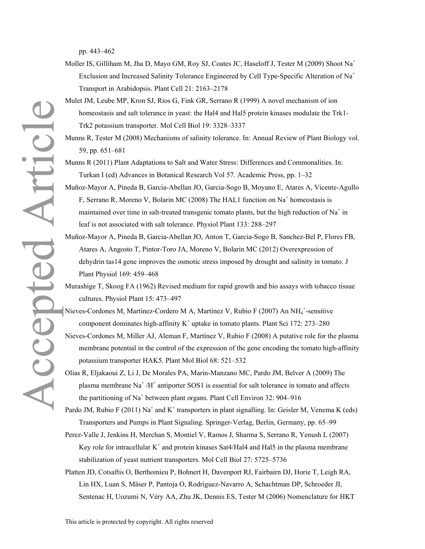pp. 443–462

- Moller IS, Gilliham M, Jha D, Mayo GM, Roy SJ, Coates JC, Haseloff J, Tester M (2009) Shoot Na<sup>+</sup> Exclusion and Increased Salinity Tolerance Engineered by Cell Type-Specific Alteration of Na+ Transport in Arabidopsis. Plant Cell 21: 2163–2178
- Mulet JM, Leube MP, Kron SJ, Rios G, Fink GR, Serrano R (1999) A novel mechanism of ion homeostasis and salt tolerance in yeast: the Hal4 and Hal5 protein kinases modulate the Trk1- Trk2 potassium transporter. Mol Cell Biol 19: 3328–3337
- Munns R, Tester M (2008) Mechanisms of salinity tolerance. In: Annual Review of Plant Biology vol. 59, pp. 651–681
- Munns R (2011) Plant Adaptations to Salt and Water Stress: Differences and Commonalities. In: Turkan I (ed) Advances in Botanical Research Vol 57. Academic Press, pp. 1–32
- Muñoz-Mayor A, Pineda B, Garcia-Abellan JO, Garcia-Sogo B, Moyano E, Atares A, Vicente-Agullo F, Serrano R, Moreno V, Bolarin MC (2008) The HAL1 function on  $Na<sup>+</sup>$  homeostasis is maintained over time in salt-treated transgenic tomato plants, but the high reduction of  $Na<sup>+</sup>$  in leaf is not associated with salt tolerance. Physiol Plant 133: 288–297
- Muñoz-Mayor A, Pineda B, Garcia-Abellan JO, Anton T, Garcia-Sogo B, Sanchez-Bel P, Flores FB, Atares A, Angosto T, Pintor-Toro JA, Moreno V, Bolarin MC (2012) Overexpression of dehydrin tas14 gene improves the osmotic stress imposed by drought and salinity in tomato. J Plant Physiol 169: 459–468
- Murashige T, Skoog FA (1962) Revised medium for rapid growth and bio assays with tobacco tissue cultures. Physiol Plant 15: 473–497
- Nieves-Cordones M, Martínez-Cordero M A, Martínez V, Rubio F (2007) An NH<sub>4</sub><sup>+</sup>-sensitive component dominates high-affinity  $K^+$  uptake in tomato plants. Plant Sci 172: 273–280
- Nieves-Cordones M, Miller AJ, Aleman F, Martínez V, Rubio F (2008) A putative role for the plasma membrane potential in the control of the expression of the gene encoding the tomato high-affinity potassium transporter HAK5. Plant Mol Biol 68: 521–532

Olias R, Eljakaoui Z, Li J, De Morales PA, Marin-Manzano MC, Pardo JM, Belver A (2009) The plasma membrane  $\text{Na}^+/\text{H}^+$  antiporter SOS1 is essential for salt tolerance in tomato and affects the partitioning of Na<sup>+</sup> between plant organs. Plant Cell Environ 32: 904–916

Pardo JM, Rubio F (2011) Na<sup>+</sup> and K<sup>+</sup> transporters in plant signalling. In: Geisler M, Venema K (eds) Transporters and Pumps in Plant Signaling. Springer-Verlag, Berlin, Germany, pp. 65–99

- Perez-Valle J, Jenkins H, Merchan S, Montiel V, Ramos J, Sharma S, Serrano R, Yenush L (2007) Key role for intracellular  $K^+$  and protein kinases Sat4/Hal4 and Hal5 in the plasma membrane stabilization of yeast nutrient transporters. Mol Cell Biol 27: 5725–5736
- Platten JD, Cotsaftis O, Berthomieu P, Bohnert H, Davenport RJ, Fairbairn DJ, Horie T, Leigh RA, Lin HX, Luan S, Mäser P, Pantoja O, Rodríguez-Navarro A, Schachtman DP, Schroeder JI, Sentenac H, Uozumi N, Véry AA, Zhu JK, Dennis ES, Tester M (2006) Nomenclature for HKT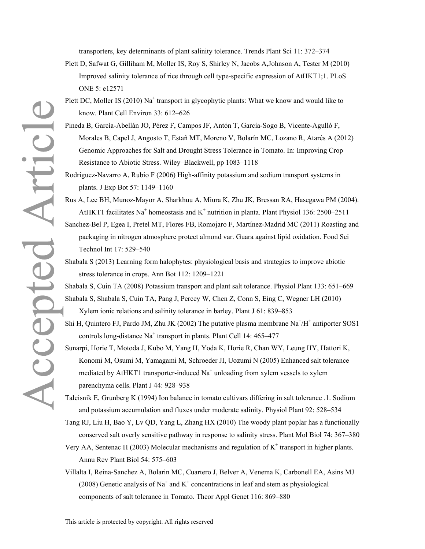transporters, key determinants of plant salinity tolerance. Trends Plant Sci 11: 372–374

- Plett D, Safwat G, Gilliham M, Moller IS, Roy S, Shirley N, Jacobs A,Johnson A, Tester M (2010) Improved salinity tolerance of rice through cell type-specific expression of AtHKT1;1. PLoS ONE 5: e12571
- Plett DC, Moller IS (2010)  $Na<sup>+</sup>$  transport in glycophytic plants: What we know and would like to know. Plant Cell Environ 33: 612–626
- Pineda B, García-Abellán JO, Pérez F, Campos JF, Antón T, García-Sogo B, Vicente-Agulló F, Morales B, Capel J, Angosto T, Estañ MT, Moreno V, Bolarín MC, Lozano R, Atarés A (2012) Genomic Approaches for Salt and Drought Stress Tolerance in Tomato. In: Improving Crop Resistance to Abiotic Stress. Wiley–Blackwell, pp 1083–1118
	- Rodriguez-Navarro A, Rubio F (2006) High-affinity potassium and sodium transport systems in plants. J Exp Bot 57: 1149–1160
	- Rus A, Lee BH, Munoz-Mayor A, Sharkhuu A, Miura K, Zhu JK, Bressan RA, Hasegawa PM (2004). AtHKT1 facilitates Na<sup>+</sup> homeostasis and K<sup>+</sup> nutrition in planta. Plant Physiol 136: 2500–2511
- Sanchez-Bel P, Egea I, Pretel MT, Flores FB, Romojaro F, Martínez-Madrid MC (2011) Roasting and packaging in nitrogen atmosphere protect almond var. Guara against lipid oxidation. Food Sci Technol Int 17: 529–540
- Shabala S (2013) Learning form halophytes: physiological basis and strategies to improve abiotic stress tolerance in crops. Ann Bot 112: 1209–1221
- Shabala S, Cuin TA (2008) Potassium transport and plant salt tolerance. Physiol Plant 133: 651–669 Shabala S, Shabala S, Cuin TA, Pang J, Percey W, Chen Z, Conn S, Eing C, Wegner LH (2010) Xylem ionic relations and salinity tolerance in barley. Plant J 61: 839–853
- Shi H, Quintero FJ, Pardo JM, Zhu JK (2002) The putative plasma membrane  $\text{Na}^+\text{/H}^+$  antiporter SOS1 controls long-distance Na<sup>+</sup> transport in plants. Plant Cell 14: 465–477
- Sunarpi, Horie T, Motoda J, Kubo M, Yang H, Yoda K, Horie R, Chan WY, Leung HY, Hattori K, Konomi M, Osumi M, Yamagami M, Schroeder JI, Uozumi N (2005) Enhanced salt tolerance mediated by AtHKT1 transporter-induced Na<sup>+</sup> unloading from xylem vessels to xylem parenchyma cells. Plant J 44: 928–938

Taleisnik E, Grunberg K (1994) Ion balance in tomato cultivars differing in salt tolerance .1. Sodium and potassium accumulation and fluxes under moderate salinity. Physiol Plant 92: 528–534

Tang RJ, Liu H, Bao Y, Lv QD, Yang L, Zhang HX (2010) The woody plant poplar has a functionally conserved salt overly sensitive pathway in response to salinity stress. Plant Mol Biol 74: 367–380

- Very AA, Sentenac H (2003) Molecular mechanisms and regulation of  $K^+$  transport in higher plants. Annu Rev Plant Biol 54: 575–603
- Villalta I, Reina-Sanchez A, Bolarin MC, Cuartero J, Belver A, Venema K, Carbonell EA, Asins MJ (2008) Genetic analysis of Na<sup>+</sup> and K<sup>+</sup> concentrations in leaf and stem as physiological components of salt tolerance in Tomato. Theor Appl Genet 116: 869–880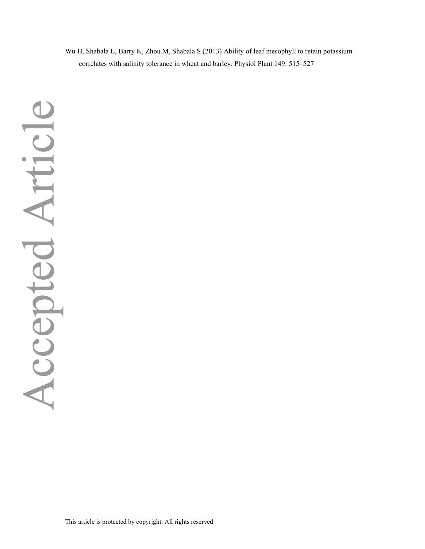Wu H, Shabala L, Barry K, Zhou M, Shabala S (2013) Ability of leaf mesophyll to retain potassium correlates with salinity tolerance in wheat and barley. Physiol Plant 149: 515–527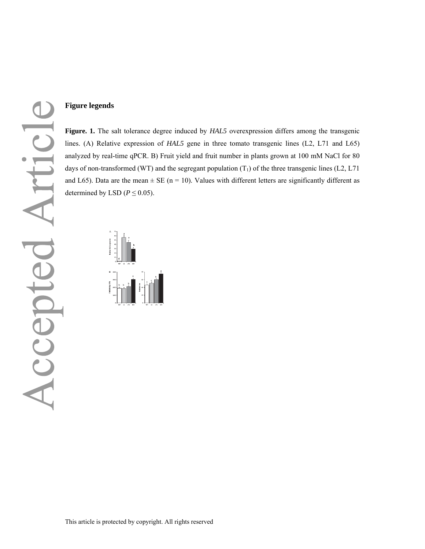## **Figure legends**

Articl

Accepted

Figure. 1. The salt tolerance degree induced by *HAL5* overexpression differs among the transgenic lines. (A) Relative expression of *HAL5* gene in three tomato transgenic lines (L2, L71 and L65) analyzed by real-time qPCR. B) Fruit yield and fruit number in plants grown at 100 mM NaCl for 80 days of non-transformed (WT) and the segregant population  $(T_1)$  of the three transgenic lines (L2, L71) and L65). Data are the mean  $\pm$  SE (n = 10). Values with different letters are significantly different as determined by LSD ( $P \le 0.05$ ).

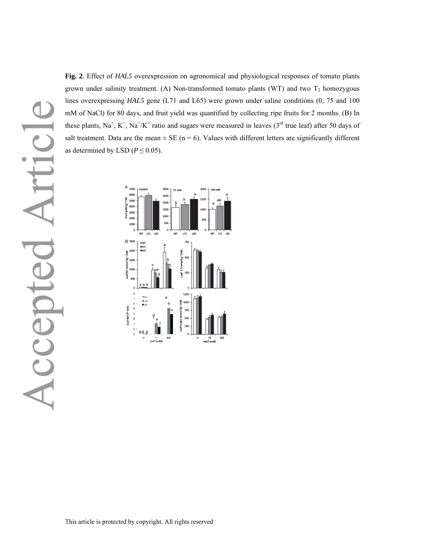**Fig. 2**. Effect of *HAL5* overexpression on agronomical and physiological responses of tomato plants grown under salinity treatment. (A) Non-transformed tomato plants (WT) and two  $T_2$  homozygous lines overexpressing *HAL5* gene (L71 and L65) were grown under saline conditions (0, 75 and 100 mM of NaCl) for 80 days, and fruit yield was quantified by collecting ripe fruits for 2 months. (B) In these plants,  $Na^+$ ,  $K^+$ ,  $Na^+/K^+$  ratio and sugars were measured in leaves (3<sup>rd</sup> true leaf) after 50 days of salt treatment. Data are the mean  $\pm$  SE (n = 6). Values with different letters are significantly different as determined by LSD ( $P \le 0.05$ ).

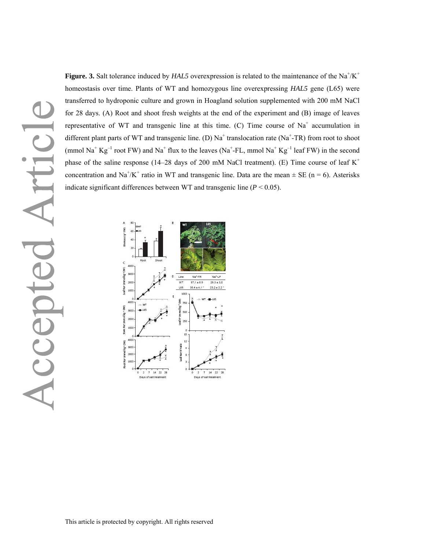**Figure. 3.** Salt tolerance induced by *HAL5* overexpression is related to the maintenance of the Na<sup>+</sup>/K<sup>+</sup> homeostasis over time. Plants of WT and homozygous line overexpressing *HAL5* gene (L65) were transferred to hydroponic culture and grown in Hoagland solution supplemented with 200 mM NaCl for 28 days. (A) Root and shoot fresh weights at the end of the experiment and (B) image of leaves representative of WT and transgenic line at this time. (C) Time course of  $Na<sup>+</sup>$  accumulation in different plant parts of WT and transgenic line. (D)  $Na^+$  translocation rate ( $Na^+$ -TR) from root to shoot (mmol Na<sup>+</sup> Kg<sup>-1</sup> root FW) and Na<sup>+</sup> flux to the leaves (Na<sup>+</sup>-FL, mmol Na<sup>+</sup> Kg<sup>-1</sup> leaf FW) in the second phase of the saline response (14–28 days of 200 mM NaCl treatment). (E) Time course of leaf  $K^+$ concentration and Na<sup>+</sup>/K<sup>+</sup> ratio in WT and transgenic line. Data are the mean  $\pm$  SE (n = 6). Asterisks indicate significant differences between WT and transgenic line (*P* < 0.05).

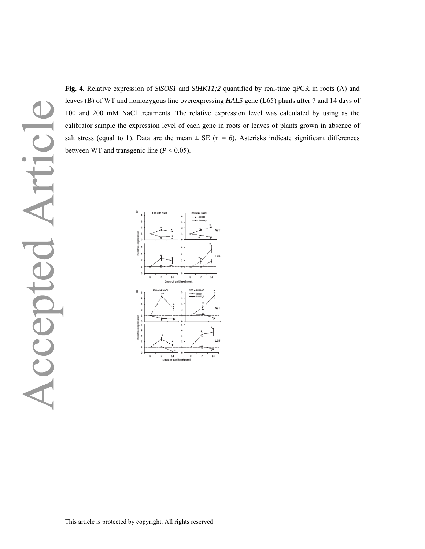**Fig. 4.** Relative expression of *SlSOS1* and *SlHKT1;2* quantified by real-time qPCR in roots (A) and leaves (B) of WT and homozygous line overexpressing *HAL5* gene (L65) plants after 7 and 14 days of 100 and 200 mM NaCl treatments. The relative expression level was calculated by using as the calibrator sample the expression level of each gene in roots or leaves of plants grown in absence of salt stress (equal to 1). Data are the mean  $\pm$  SE (n = 6). Asterisks indicate significant differences between WT and transgenic line  $(P < 0.05)$ .

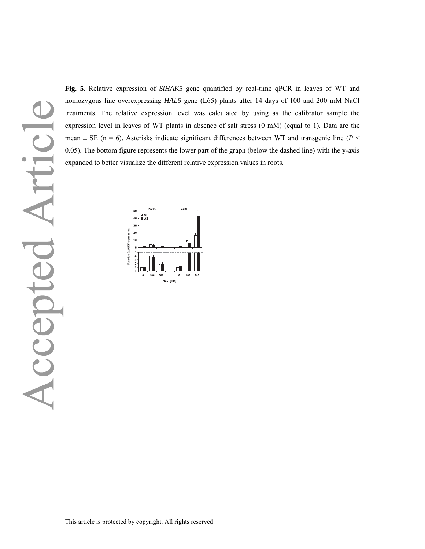**Fig. 5.** Relative expression of *SlHAK5* gene quantified by real-time qPCR in leaves of WT and homozygous line overexpressing *HAL5* gene (L65) plants after 14 days of 100 and 200 mM NaCl treatments. The relative expression level was calculated by using as the calibrator sample the expression level in leaves of WT plants in absence of salt stress (0 mM) (equal to 1). Data are the mean  $\pm$  SE (n = 6). Asterisks indicate significant differences between WT and transgenic line ( $P$  < 0.05). The bottom figure represents the lower part of the graph (below the dashed line) with the y-axis expanded to better visualize the different relative expression values in roots.